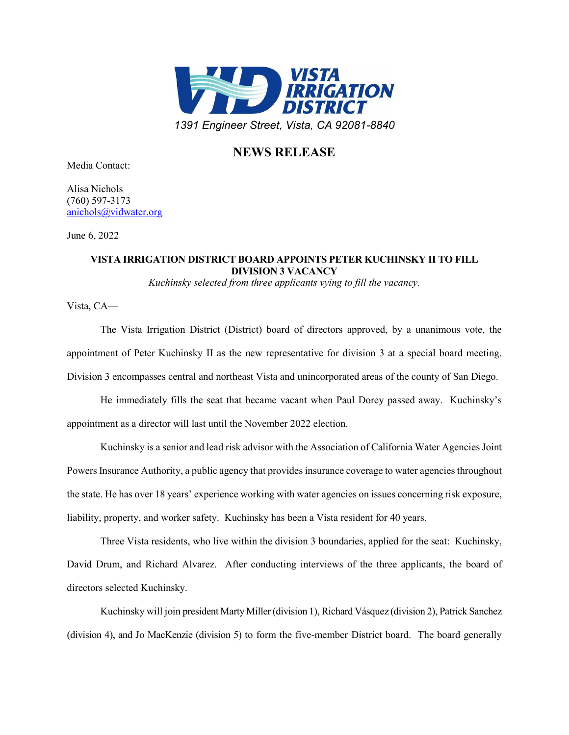

## **NEWS RELEASE**

Media Contact:

Alisa Nichols (760) 597-3173 [anichols@vidwater.org](mailto:anichols@vidwater.org)

June 6, 2022

## **VISTA IRRIGATION DISTRICT BOARD APPOINTS PETER KUCHINSKY II TO FILL DIVISION 3 VACANCY**

*Kuchinsky selected from three applicants vying to fill the vacancy.*

Vista, CA—

The Vista Irrigation District (District) board of directors approved, by a unanimous vote, the appointment of Peter Kuchinsky II as the new representative for division 3 at a special board meeting. Division 3 encompasses central and northeast Vista and unincorporated areas of the county of San Diego.

He immediately fills the seat that became vacant when Paul Dorey passed away. Kuchinsky's appointment as a director will last until the November 2022 election.

Kuchinsky is a senior and lead risk advisor with the Association of California Water Agencies Joint Powers Insurance Authority, a public agency that provides insurance coverage to water agencies throughout the state. He has over 18 years' experience working with water agencies on issues concerning risk exposure, liability, property, and worker safety. Kuchinsky has been a Vista resident for 40 years.

Three Vista residents, who live within the division 3 boundaries, applied for the seat: Kuchinsky, David Drum, and Richard Alvarez. After conducting interviews of the three applicants, the board of directors selected Kuchinsky.

Kuchinsky will join president Marty Miller (division 1), Richard Vásquez (division 2), Patrick Sanchez (division 4), and Jo MacKenzie (division 5) to form the five-member District board. The board generally